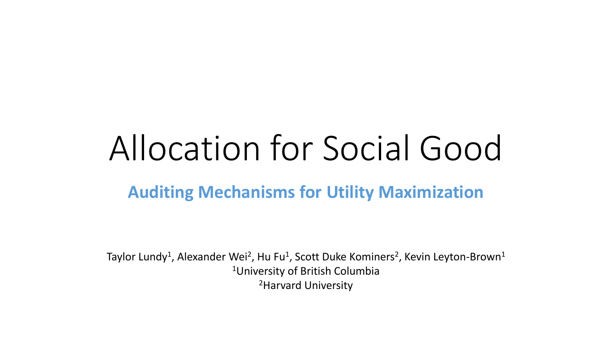# Allocation for Social Good

#### **Auditing Mechanisms for Utility Maximization**

Taylor Lundy<sup>1</sup>, Alexander Wei<sup>2</sup>, Hu Fu<sup>1</sup>, Scott Duke Kominers<sup>2</sup>, Kevin Leyton-Brown<sup>1</sup> <sup>1</sup>University of British Columbia 2Harvard University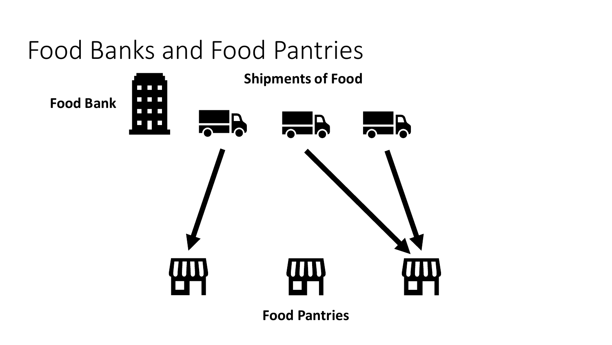## Food Banks and Food Pantries

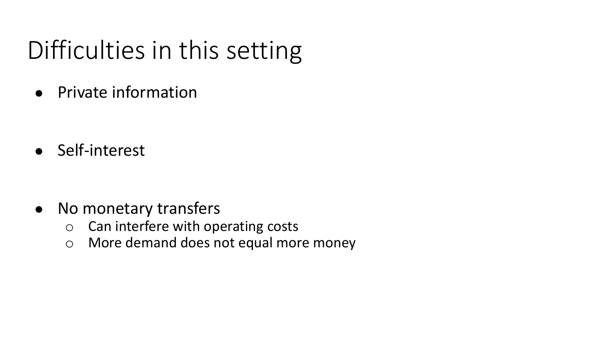# Difficulties in this setting

● Private information

● Self-interest

- No monetary transfers
	- o Can interfere with operating costs
	- o More demand does not equal more money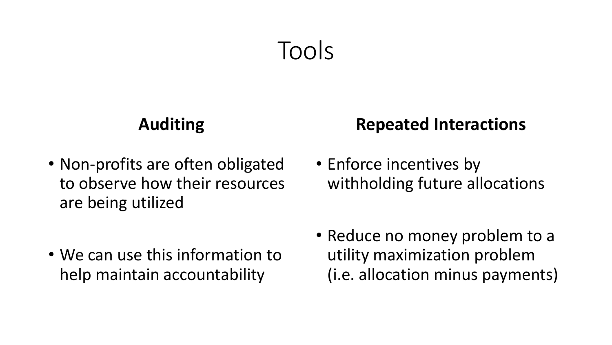## Tools

#### **Auditing**

• Non-profits are often obligated to observe how their resources are being utilized

#### **Repeated Interactions**

• Enforce incentives by withholding future allocations

- We can use this information to help maintain accountability
- Reduce no money problem to a utility maximization problem (i.e. allocation minus payments)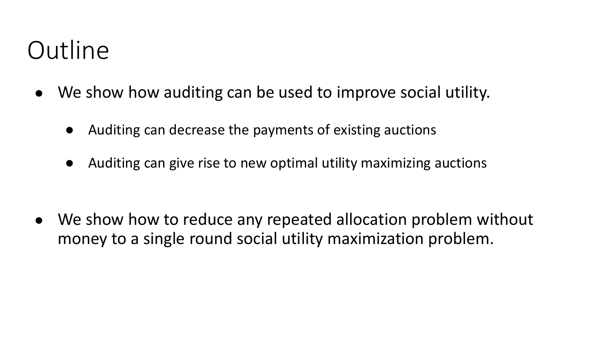## **Outline**

- We show how auditing can be used to improve social utility.
	- Auditing can decrease the payments of existing auctions
	- Auditing can give rise to new optimal utility maximizing auctions

• We show how to reduce any repeated allocation problem without money to a single round social utility maximization problem.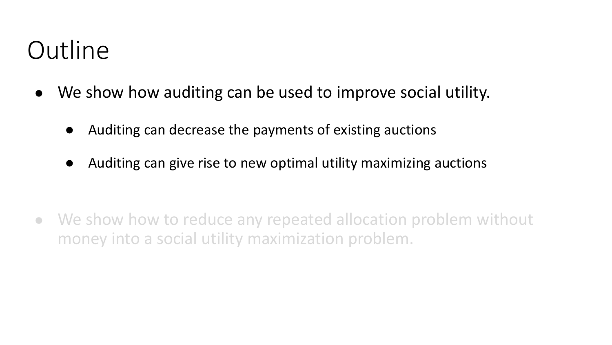## **Outline**

- We show how auditing can be used to improve social utility.
	- Auditing can decrease the payments of existing auctions
	- Auditing can give rise to new optimal utility maximizing auctions

• We show how to reduce any repeated allocation problem without money into a social utility maximization problem.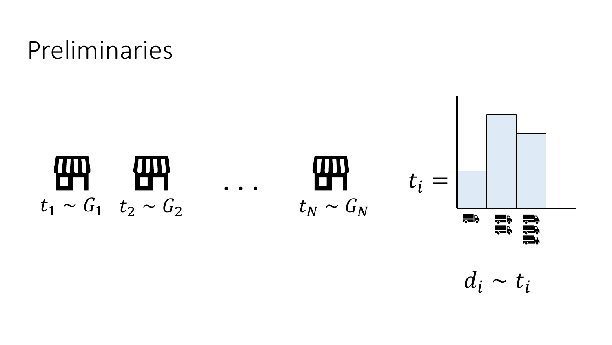## Preliminaries



 $d_i \sim t_i$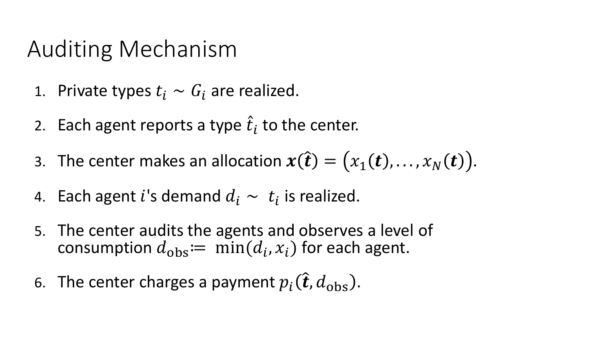### Auditing Mechanism

- 1. Private types  $t_i \sim G_i$  are realized.
- 2. Each agent reports a type  $\hat{t}_i$  to the center.
- 3. The center makes an allocation  $x(\hat{\boldsymbol{t}}) = (x_1(\boldsymbol{t}), \ldots, x_N(\boldsymbol{t})).$
- 4. Each agent i's demand  $d_i \sim t_i$  is realized.
- 5. The center audits the agents and observes a level of consumption  $d_{\text{obs}} := \min(d_i, x_i)$  for each agent.
- 6. The center charges a payment  $p_i(\hat{\boldsymbol{t}}, d_{\text{obs}})$ .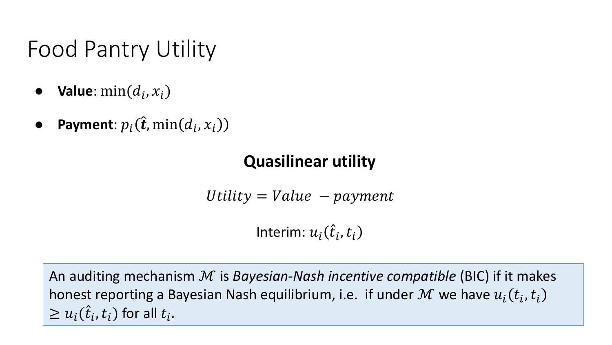### Food Pantry Utility

- $\bullet$  **Value**:  $\min(d_i, x_i)$
- **•** Payment:  $p_i(\hat{\boldsymbol{t}}, \min(d_i, x_i))$

#### **Quasilinear utility**

Utility  $=$  Value  $-$  payment

Interim:  $u_i(\hat{t}_i,t_i)$ 

An auditing mechanism ℳ is *Bayesian-Nash incentive compatible* (BIC) if it makes honest reporting a Bayesian Nash equilibrium, i.e. if under  $\mathcal M$  we have  $u_i(t_i,t_i)$  $\geq u_i(\hat{t}_i,t_i)$  for all  $t_i.$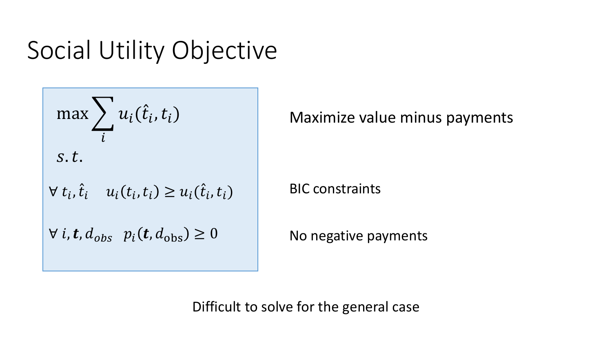## Social Utility Objective



Maximize value minus payments

BIC constraints

No negative payments

Difficult to solve for the general case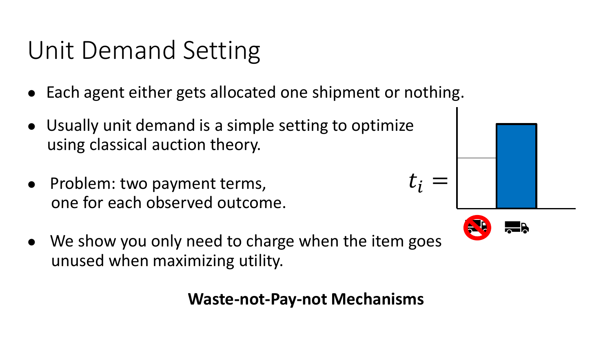## Unit Demand Setting

- Each agent either gets allocated one shipment or nothing.
- Usually unit demand is a simple setting to optimize using classical auction theory.
- Problem: two payment terms, one for each observed outcome.
- We show you only need to charge when the item goes unused when maximizing utility.

**Waste-not-Pay-not Mechanisms**



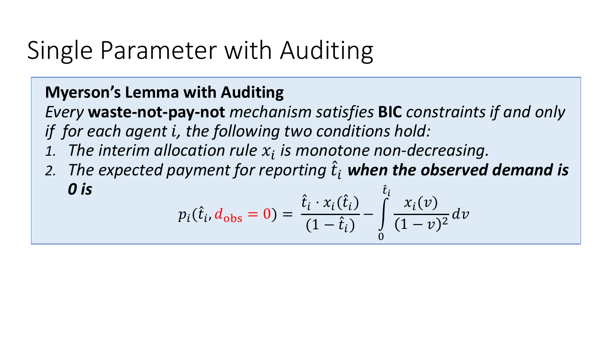## Single Parameter with Auditing

#### **Myerson's Lemma with Auditing**

*Every* **waste-not-pay-not** *mechanism satisfies* **BIC** *constraints if and only if for each agent , the following two conditions hold:*

- 1. The interim allocation rule  $x_i$  is monotone non-decreasing.
- 2. The expected payment for reporting  $\hat{t}_i$  **when the observed demand is** *0 is*   $\hat{t}$ į

$$
p_i(\hat{t}_i, d_{\text{obs}} = 0) = \frac{\hat{t}_i \cdot x_i(\hat{t}_i)}{(1 - \hat{t}_i)} - \int\limits_0^t \frac{x_i(v)}{(1 - v)^2} dv
$$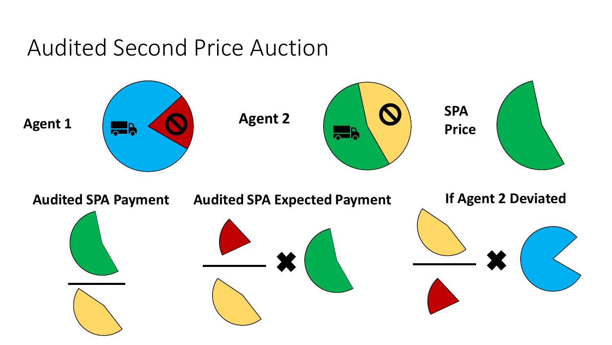#### Audited Second Price Auction

![](_page_12_Figure_1.jpeg)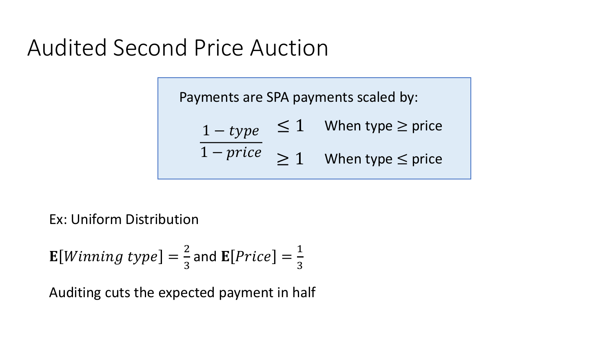### Audited Second Price Auction

Payments are SPA payments scaled by:

$$
\frac{1 - type}{1 - price} \le 1 \quad \text{When type } \ge \text{price}
$$
\n
$$
\ge 1 \quad \text{When type } \le \text{price}
$$

Ex: Uniform Distribution

$$
\mathbf{E}[Winning\ type] = \frac{2}{3} \text{ and } \mathbf{E}[Price] = \frac{1}{3}
$$

Auditing cuts the expected payment in half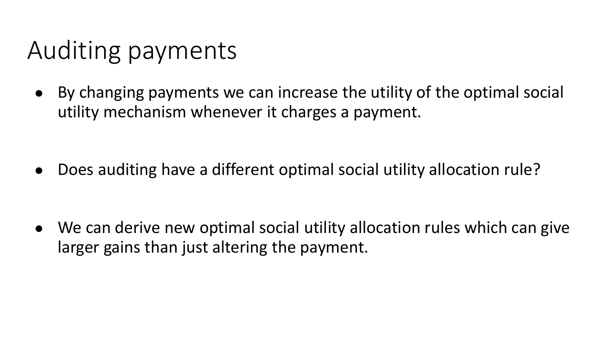# Auditing payments

● By changing payments we can increase the utility of the optimal social utility mechanism whenever it charges a payment.

● Does auditing have a different optimal social utility allocation rule?

• We can derive new optimal social utility allocation rules which can give larger gains than just altering the payment.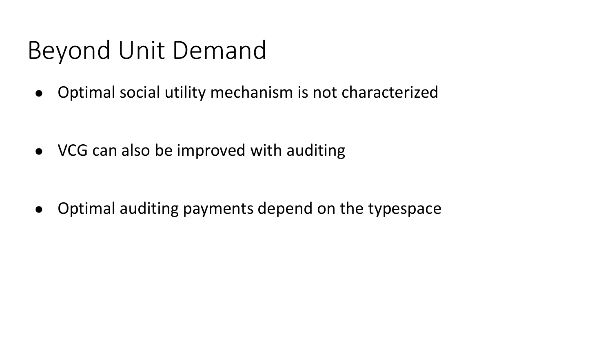## Beyond Unit Demand

● Optimal social utility mechanism is not characterized

● VCG can also be improved with auditing

• Optimal auditing payments depend on the typespace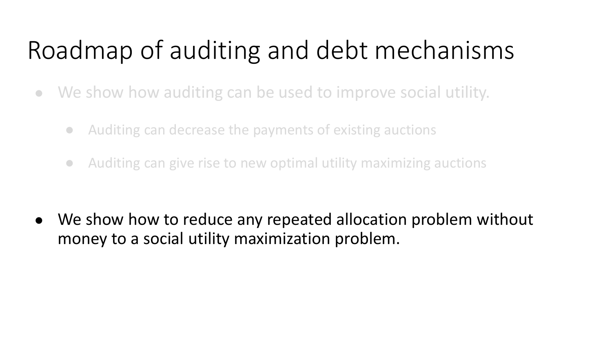# Roadmap of auditing and debt mechanisms

- We show how auditing can be used to improve social utility.
	- Auditing can decrease the payments of existing auctions
	- Auditing can give rise to new optimal utility maximizing auctions

• We show how to reduce any repeated allocation problem without money to a social utility maximization problem.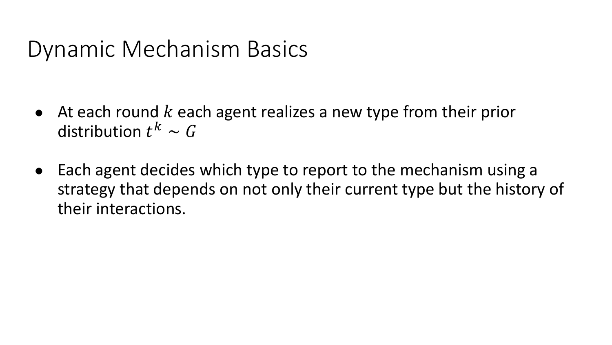#### Dynamic Mechanism Basics

- At each round  $k$  each agent realizes a new type from their prior distribution  $t^k \thicksim G$
- Each agent decides which type to report to the mechanism using a strategy that depends on not only their current type but the history of their interactions.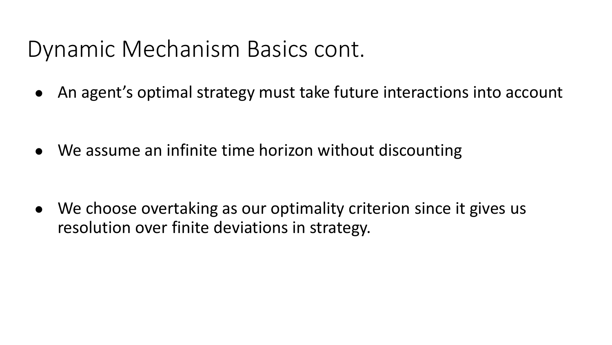### Dynamic Mechanism Basics cont.

● An agent's optimal strategy must take future interactions into account

• We assume an infinite time horizon without discounting

• We choose overtaking as our optimality criterion since it gives us resolution over finite deviations in strategy.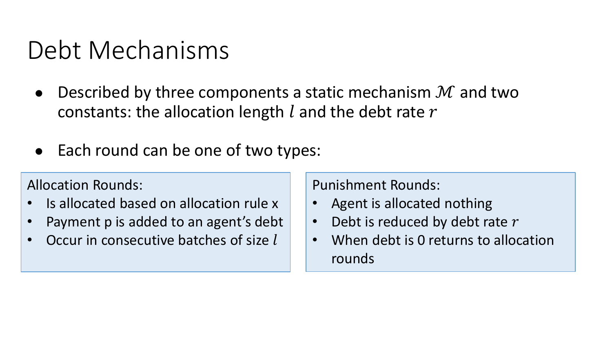## Debt Mechanisms

- Described by three components a static mechanism  $\mathcal M$  and two constants: the allocation length  $l$  and the debt rate  $r$
- Each round can be one of two types:

#### Allocation Rounds:

- Is allocated based on allocation rule x
- Payment p is added to an agent's debt
- Occur in consecutive batches of size l

Punishment Rounds:

- Agent is allocated nothing
- Debt is reduced by debt rate  $r$
- When debt is 0 returns to allocation rounds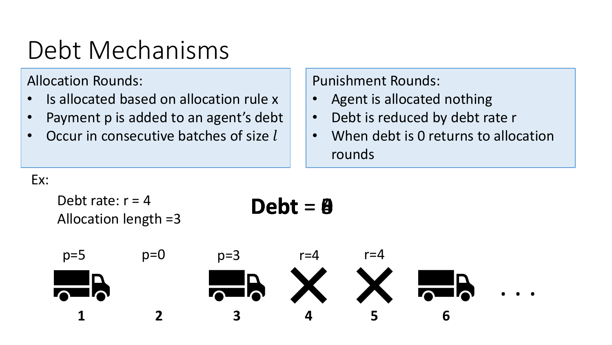# Debt Mechanisms

Allocation Rounds:

- Is allocated based on allocation rule x
- Payment p is added to an agent's debt
- Occur in consecutive batches of size  $l$

#### Punishment Rounds:

- Agent is allocated nothing
- Debt is reduced by debt rate r
- When debt is 0 returns to allocation rounds

Ex:

![](_page_20_Figure_10.jpeg)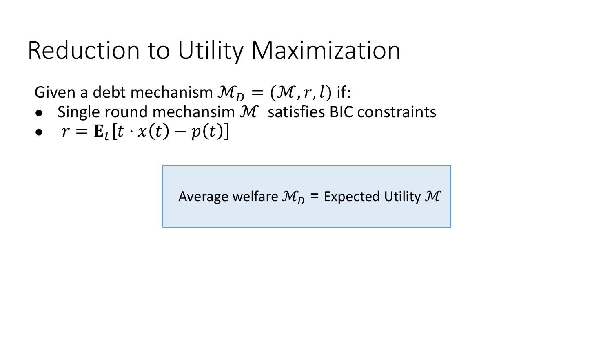## Reduction to Utility Maximization

Given a debt mechanism  $\mathcal{M}_D = (\mathcal{M}, r, l)$  if:

- Single round mechansim  $M$  satisfies BIC constraints
- $r = \mathbf{E}_t[t \cdot x(t) p(t)]$

Average welfare  $M_D$  = Expected Utility M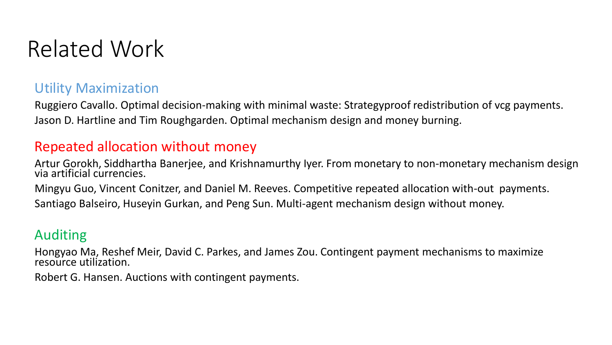### Related Work

#### Utility Maximization

Ruggiero Cavallo. Optimal decision-making with minimal waste: Strategyproof redistribution of vcg payments. Jason D. Hartline and Tim Roughgarden. Optimal mechanism design and money burning.

#### Repeated allocation without money

Artur Gorokh, Siddhartha Banerjee, and Krishnamurthy Iyer. From monetary to non-monetary mechanism design via artificial currencies.

Mingyu Guo, Vincent Conitzer, and Daniel M. Reeves. Competitive repeated allocation with-out payments.

Santiago Balseiro, Huseyin Gurkan, and Peng Sun. Multi-agent mechanism design without money.

#### Auditing

Hongyao Ma, Reshef Meir, David C. Parkes, and James Zou. Contingent payment mechanisms to maximize resource utilization.

Robert G. Hansen. Auctions with contingent payments.